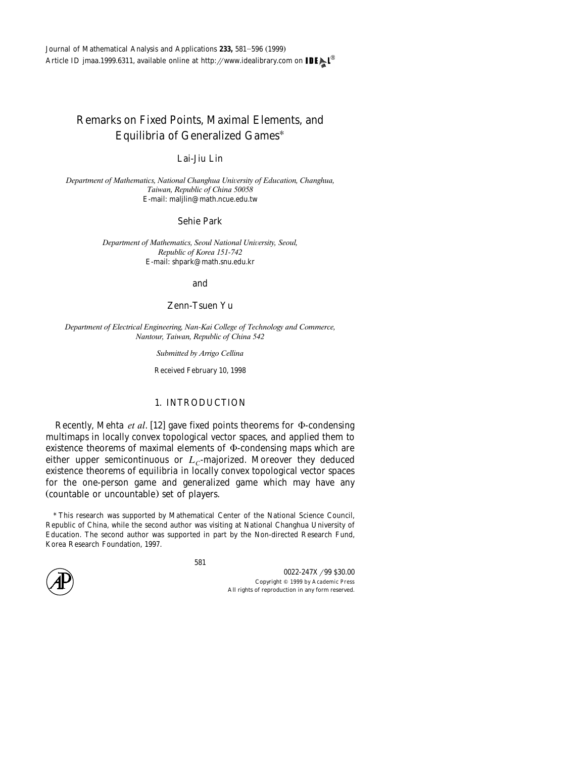# Remarks on Fixed Points, Maximal Elements, and Equilibria of Generalized Games\*

### Lai-Jiu Lin

*Department of Mathematics, National Changhua Uni*¨*ersity of Education, Changhua, Taiwan, Republic of China 50058* E-mail: maljlin@math.ncue.edu.tw

### Sehie Park

*Department of Mathematics, Seoul National University, Seoul, Republic of Korea 151-742* E-mail: shpark@math.snu.edu.kr

#### and

## Zenn-Tsuen Yu

*Department of Electrical Engineering, Nan-Kai College of Technology and Commerce, Nantour, Taiwan, Republic of China 542*

*Submitted by Arrigo Cellina*

Received February 10, 1998

# 1. INTRODUCTION

Recently, Mehta *et al.* [12] gave fixed points theorems for  $\Phi$ -condensing multimaps in locally convex topological vector spaces, and applied them to existence theorems of maximal elements of  $\Phi$ -condensing maps which are either upper semicontinuous or  $L<sub>C</sub>$ -majorized. Moreover they deduced existence theorems of equilibria in locally convex topological vector spaces for the one-person game and generalized game which may have any (countable or uncountable) set of players.

<sup>\*</sup> This research was supported by Mathematical Center of the National Science Council, Republic of China, while the second author was visiting at National Changhua University of Education. The second author was supported in part by the Non-directed Research Fund, Korea Research Foundation, 1997.

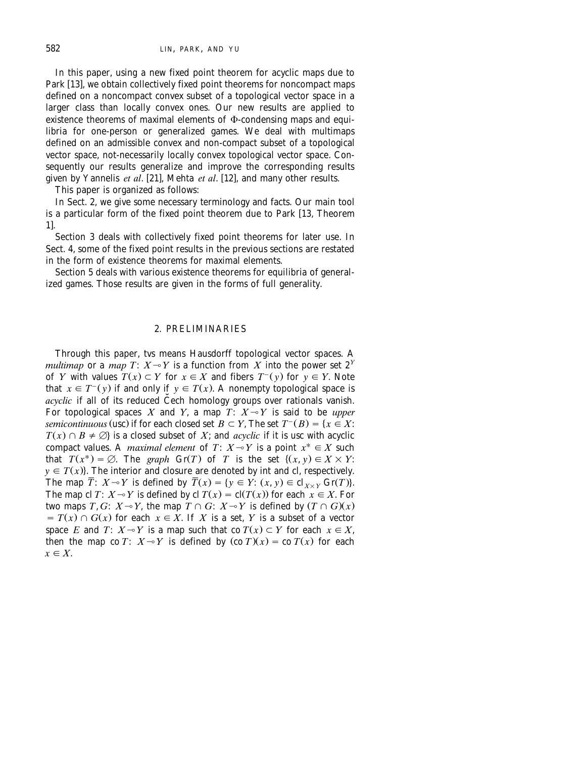In this paper, using a new fixed point theorem for acyclic maps due to Park [13], we obtain collectively fixed point theorems for noncompact maps defined on a noncompact convex subset of a topological vector space in a larger class than locally convex ones. Our new results are applied to existence theorems of maximal elements of  $\Phi$ -condensing maps and equilibria for one-person or generalized games. We deal with multimaps defined on an admissible convex and non-compact subset of a topological vector space, not-necessarily locally convex topological vector space. Consequently our results generalize and improve the corresponding results given by Yannelis *et al.* [21], Mehta *et al.* [12], and many other results.

This paper is organized as follows:

In Sect. 2, we give some necessary terminology and facts. Our main tool is a particular form of the fixed point theorem due to Park [13, Theorem  $11.$ 

Section 3 deals with collectively fixed point theorems for later use. In Sect. 4, some of the fixed point results in the previous sections are restated in the form of existence theorems for maximal elements.

Section 5 deals with various existence theorems for equilibria of generalized games. Those results are given in the forms of full generality.

### 2. PRELIMINARIES

Through this paper, tvs means Hausdorff topological vector spaces. A *multimap* or a *map*  $T: X \rightarrow Y$  is a function from *X* into the power set  $2^Y$ of *Y* with values  $T(x) \subset Y$  for  $x \in X$  and fibers  $T^-(y)$  for  $y \in Y$ . Note that  $x \in T^-(y)$  if and only if  $y \in T(x)$ . A nonempty topological space is acyclic if all of its reduced Cech homology groups over rationals vanish. For topological spaces  $X$  and  $Y$ , a map  $T\colon\thinspace X\!\multimap\! Y$  is said to be *upper semicontinuous* (usc) if for each closed set  $B \subset Y$ , The set  $T^{-}(B) = \{x \in X :$  $T(x) \cap B \neq \emptyset$  is a closed subset of *X*; and *acyclic* if it is usc with acyclic compact values. A *maximal element* of  $T: X \rightarrow Y$  is a point  $x^* \in X$  such that  $T(x^*) = \emptyset$ . The *graph* Gr(T) of T is the set  $\{(x, y) \in X \times Y\}$ .  $y \in T(x)$ . The interior and closure are denoted by int and cl, respectively. The map  $\overline{T}$ :  $X \rightarrow Y$  is defined by  $\overline{T}(x) = \{y \in Y: (x, y) \in cl_{X \times Y}$  Gr(T)). The map cl *T*:  $X \sim Y$  is defined by cl  $T(x) = cl(T(x))$  for each  $x \in X$ . For two maps *T*, *G*:  $X \rightarrow Y$ , the map  $T \cap G$ :  $X \rightarrow Y$  is defined by  $(T \cap G)(x)$  $T = T(x) \cap G(x)$  for each  $x \in X$ . If X is a set, Y is a subset of a vector space *E* and *T*:  $X \sim Y$  is a map such that co  $T(x) \subset Y$  for each  $x \in X$ , then the map co *T*:  $X \sim Y$  is defined by  $(\text{co } T)(x) = \text{co } T(x)$  for each  $x \in X$ .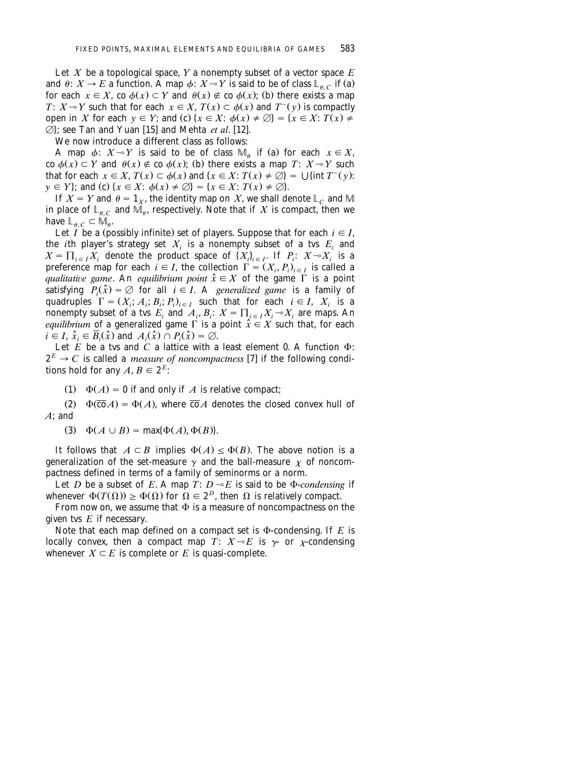Let *X* be a topological space, *Y* a nonempty subset of a vector space  $E$ and  $\theta: X \to E$  a function. A map  $\phi: X \to Y$  is said to be of class  $\mathbb{L}_{\theta}$  if (a) for each  $x \in X$ , co  $\phi(x) \subset Y$  and  $\theta(x) \notin \phi(x)$ ; (b) there exists a map *T*:  $X \sim Y$  such that for each  $x \in X$ ,  $T(x) \subset \phi(x)$  and  $T^-(y)$  is compactly open in *X* for each  $y \in Y$ ; and (c)  $\{x \in X : \phi(x) \neq \emptyset\} = \{x \in X : T(x) \neq \emptyset\}$  $\overrightarrow{Q}$ ; see Tan and Yuan [15] and Mehta *et al.* [12].

We now introduce a different class as follows:

A map  $\phi$ :  $X \rightarrow Y$  is said to be of class  $\mathbb{M}_q$  if (a) for each  $x \in X$ ,  $\cos \phi(x) \subset Y$  and  $\theta(x) \notin \cos \phi(x)$ ; (b) there exists a map *T*:  $X \rightarrow Y$  such that for each  $x \in X$ ,  $T(x) \subset \phi(x)$  and  $\{x \in X : T(x) \neq \emptyset\} = \bigcup \{\text{int } T^-(y)\}$ .  $y \in Y$ ; and (c)  $\{x \in X: \phi(x) \neq \emptyset\} = \{x \in X: T(x) \neq \emptyset\}.$ 

If  $X = Y$  and  $\theta = 1_X$ , the identity map on *X*, we shall denote  $\mathbb{L}_C$  and M in place of  $\mathbb{L}_{\theta,C}$  and  $\mathbb{M}_{\theta}$ , respectively. Note that if *X* is compact, then we have  $\mathbb{L}_{\theta C} \subset \widetilde{\mathbb{M}}_{\theta}$ .

Let *I* be a (possibly infinite) set of players. Suppose that for each  $i \in I$ , the *i*th player's strategy set  $X_i$  is a nonempty subset of a tvs  $E_i$  and  $X = \prod_{i \in I} X_i$  denote the product space of  $\{X_i\}_{i \in I}$ . If  $P_i: X \rightarrow X_i$  is a preference map for each  $i \in I$ , the collection  $\Gamma = (X_i, P_i)_{i \in I}$  is called a *qualitative game.* An *equilibrium point*  $\hat{x} \in X$  of the game  $\Gamma$  is a point satisfying  $P_i(\hat{x}) = \emptyset$  for all  $i \in I$ . A *generalized game* is a family of quadruples  $\Gamma = (X_i; A_i; B_i; P_i)_{i \in I}$  such that for each  $i \in I$ ,  $X_i$  is a nonempty subset of a tvs  $E_i$  and  $A_i$ ,  $B_i$ :  $X = \prod_{i \in I} X_i \sim X_i$  are maps. An *equilibrium* of a generalized game  $\Gamma$  is a point  $\hat{x} \in X$  such that, for each  $i \in I$ ,  $\hat{x}_i \in \overline{B}_i(\hat{x})$  and  $A_i(\hat{x}) \cap P_i(\hat{x}) = \emptyset$ .

Let  $E$  be a tvs and  $C$  a lattice with a least element 0. A function  $\Phi$ :  $2^{E} \rightarrow C$  is called a *measure of noncompactness* [7] if the following conditions hold for any  $A, B \in 2^E$ :

(1)  $\Phi(A) = 0$  if and only if *A* is relative compact;

 $\Phi(\overline{co} A) = \Phi(A)$ , where  $\overline{co} A$  denotes the closed convex hull of *A*; and

(3)  $\Phi(A \cup B) = \max{\Phi(A), \Phi(B)}.$ 

It follows that  $A \subset B$  implies  $\Phi(A) \leq \Phi(B)$ . The above notion is a generalization of the set-measure  $\gamma$  and the ball-measure  $\chi$  of noncompactness defined in terms of a family of seminorms or a norm.

Let *D* be a subset of *E*. A map *T*:  $D \sim E$  is said to be  $\Phi$ -*condensing* if whenever  $\Phi(T(\Omega)) \ge \Phi(\Omega)$  for  $\Omega \in 2^D$ , then  $\Omega$  is relatively compact.

From now on, we assume that  $\Phi$  is a measure of noncompactness on the given tvs *E* if necessary.

Note that each map defined on a compact set is  $\Phi$ -condensing. If *E* is locally convex, then a compact map  $\overline{T}$ :  $X \rightarrow E$  is  $\gamma$ - or  $\chi$ -condensing whenever  $X \subseteq E$  is complete or *E* is quasi-complete.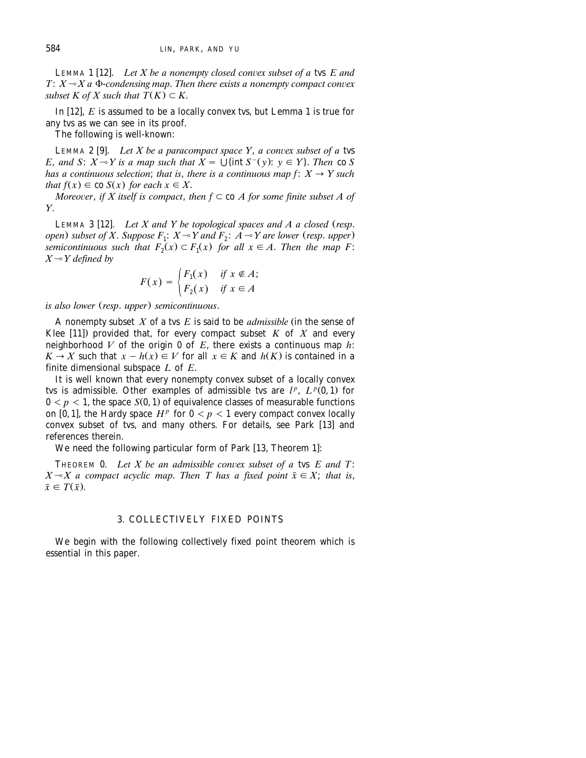LEMMA 1 [12]. Let X be a nonempty closed convex subset of a tvs *E* and  $T: X \rightarrow X$  a  $\Phi$ -condensing map. Then there exists a nonempty compact convex *subset K of X such that*  $\overline{T(K)} \subset K$ .

In  $[12]$ ,  $E$  is assumed to be a locally convex tvs, but Lemma 1 is true for any tvs as we can see in its proof.

The following is well-known:

LEMMA 2 [9]. Let X be a paracompact space Y, a convex subset of a tvs *E*, and *S*:  $X \rightarrow Y$  is a map such that  $X = \bigcup$  {int  $S^-(y)$ :  $y \in Y$ }. Then co *S has a continuous selection; that is, there is a continuous map f:*  $X \rightarrow Y$  such *that*  $f(x) \in \text{co } S(x)$  *for each*  $x \in X$ .

*Moreover, if X itself is compact, then*  $f \subset$  *co A for some finite subset A of Y*.

LEMMA 3 [12]. Let X and Y be topological spaces and A a closed (resp. *open)* subset of X. Suppose  $F_1$ :  $X \sim Y$  and  $F_2$ :  $A \sim Y$  are lower (resp. upper) *semicontinuous such that*  $F_{2}(x) \subset F_{1}(x)$  *for all*  $x \in A$ . *Then the map F*:  $X \rightarrow Y$  defined by

$$
F(x) = \begin{cases} F_1(x) & \text{if } x \notin A; \\ F_2(x) & \text{if } x \in A \end{cases}
$$

*is also lower (resp. upper) semicontinuous.* 

A nonempty subset  $X$  of a tvs  $E$  is said to be *admissible* (in the sense of Klee  $[11]$ ) provided that, for every compact subset K of X and every neighborhood *V* of the origin 0 of *E*, there exists a continuous map  $\overrightarrow{h}$ :  $K \to X$  such that  $x - h(x) \in V$  for all  $x \in K$  and  $h(K)$  is contained in a finite dimensional subspace *L* of *E*.

It is well known that every nonempty convex subset of a locally convex *tvs* is admissible. Other examples of admissible tvs are  $l^p$ ,  $L^p(0,1)$  for  $0 < p < 1$ , the space  $S(0, 1)$  of equivalence classes of measurable functions on [0, 1], the Hardy space  $H^p$  for  $0 < p < 1$  every compact convex locally convex subset of tvs, and many others. For details, see Park  $[13]$  and references therein.

We need the following particular form of Park [13, Theorem 1]:

THEOREM 0. Let  $X$  be an admissible convex subset of a tvs  $E$  and  $T$ :  $X \rightarrow X$  a compact acyclic map. Then T has a fixed point  $\bar{x} \in X$ ; that is,  $\bar{x} \in T(\bar{x})$ .

#### 3. COLLECTIVELY FIXED POINTS

We begin with the following collectively fixed point theorem which is essential in this paper.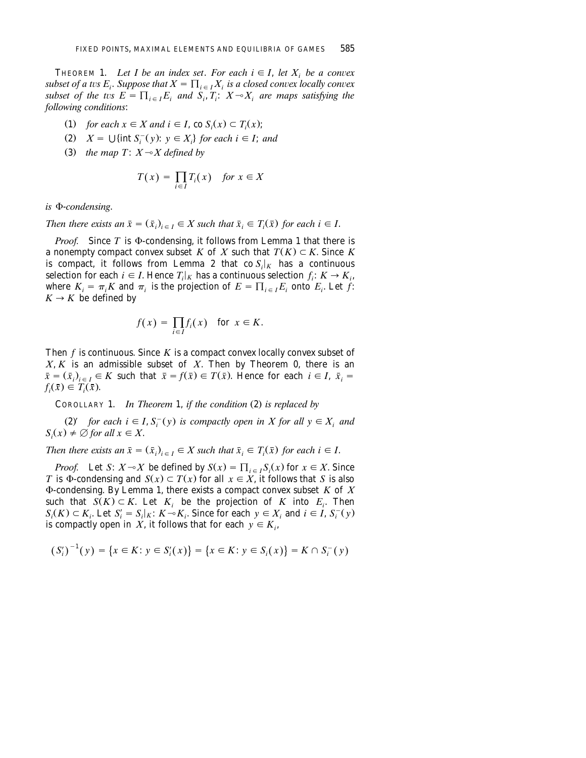THEOREM 1. Let I be an index set. For each  $i \in I$ , let  $X_i$  be a convex *subset of a tvs E<sub>i</sub>. Suppose that*  $X = \prod_{i \in I} X_i$  *is a closed convex locally convex subset of the tvs*  $E = \prod_{i \in I} E_i$  *and*  $S_i, T_i$ :  $X \rightarrow X_i$  *are maps satisfying the following conditions*:

- (1) *for each*  $x \in X$  *and*  $i \in I$ , co  $S_i(x) \subset T_i(x)$ ;
- (2)  $X = \bigcup \{ \text{int } S_i^-(y) : y \in X_i \}$  for each  $i \in I$ ; and
- (3) the map  $T: X \rightarrow X$  defined by

$$
T(x) = \prod_{i \in I} T_i(x) \quad \text{for } x \in X
$$

 $i$ *s*  $\Phi$ -*condensing*.

*Then there exists an*  $\bar{x} = (\bar{x}_i)_{i \in I} \in X$  such that  $\bar{x}_i \in T_i(\bar{x})$  for each  $i \in I$ .

*Proof.* Since  $T$  is  $\Phi$ -condensing, it follows from Lemma 1 that there is a nonempty compact convex subset *K* of *X* such that  $T(K) \subset K$ . Since *K* is compact, it follows from Lemma 2 that  $\cos\left(\frac{f}{f}\right)$  has a continuous selection for each  $i \in I$ . Hence  $T_i|_K$  has a continuous selection  $f_i: K \to K_i$ , where  $K_i = \pi_i K$  and  $\pi_i$  is the projection of  $E = \prod_{i \in I} E_i$  onto  $E_i$ . Let f:  $K \rightarrow K$  be defined by

$$
f(x) = \prod_{i \in I} f_i(x) \quad \text{for } x \in K.
$$

Then *f* is continuous. Since *K* is a compact convex locally convex subset of *X*, *K* is an admissible subset of *X*. Then by Theorem 0, there is an  $\bar{x} = (\bar{x}_i)_{i \in I} \in K$  such that  $\bar{x} = f(\bar{x}) \in T(\bar{x})$ . Hence for each  $i \in I$ ,  $\bar{x}_i =$  $f_i(\bar{x}) \in T_i(\bar{x})$ .

COROLLARY 1. *In Theorem* 1, *if the condition* (2) *is replaced by* 

(2) for each  $i \in I$ ,  $S_i^-(y)$  is compactly open in X for all  $y \in X_i$  and  $S_i(x) \neq \emptyset$  *for all*  $x \in X$ .

*Then there exists an*  $\bar{x} = (\bar{x}_i)_{i \in I} \in X$  such that  $\bar{x}_i \in T_i(\bar{x})$  for each  $i \in I$ .

*Proof.* Let *S*:  $X \sim X$  be defined by  $S(x) = \prod_{i \in I} S_i(x)$  for  $x \in X$ . Since *T* is  $\Phi$ -condensing and  $S(x) \subset T(x)$  for all  $x \in X$ , it follows that *S* is also F-condensing. By Lemma 1, there exists a compact convex subset *K* of *X* such that  $S(K) \subset K$ . Let  $K_i$  be the projection of  $K$  into  $E_i$ . Then  $S_i(K) \subset K_i$ . Let  $S'_i = S_i | K : K \sim K_i$ . Since for each  $y \in X_i$  and  $i \in I$ ,  $S_i^-(y)$ is compactly open in *X*, it follows that for each  $y \in K_i$ ,

$$
(S'_i)^{-1}(y) = \{x \in K : y \in S'_i(x)\} = \{x \in K : y \in S_i(x)\} = K \cap S_i^-(y)
$$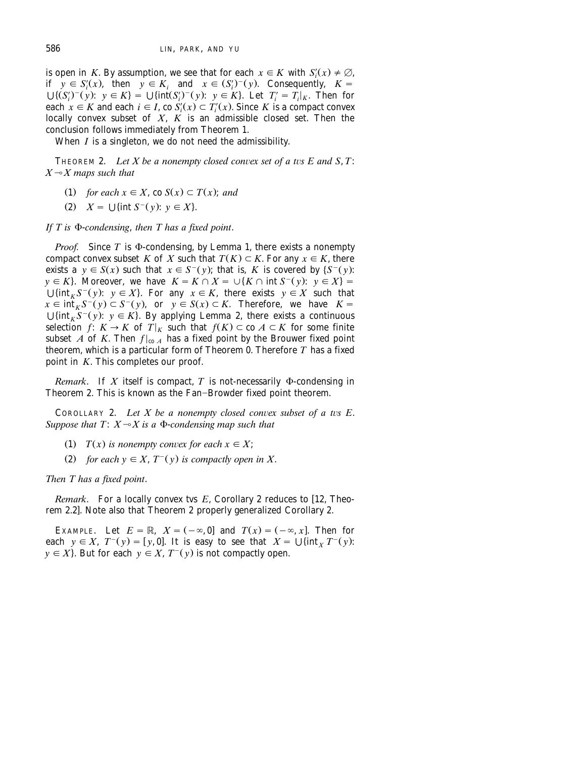is open in *K*. By assumption, we see that for each  $x \in K$  with  $S_i'(x) \neq \emptyset$ ,<br>if  $y \in S_i'(x)$ , then  $y \in K_i$  and  $x \in (S_i')^-(y)$ . Consequently,  $K =$  $\bigcup \{(S'_i)^-(y): y \in K\} = \bigcup \{\text{int}(S'_i)^-(y): y \in K\}.$  Let  $T'_i = T_i|_K$ . Then for each  $x \in K$  and each  $i \in I$ , co  $S'_i(x) \subset T'_i(x)$ . Since K is a compact convex locally convex subset of *X*, *K* is an admissible closed set. Then the conclusion follows immediately from Theorem 1.

When *I* is a singleton, we do not need the admissibility.

THEOREM 2. Let  $X$  be a nonempty closed convex set of a tvs  $E$  and  $S$ ,  $T$ :  $X \rightarrow X$  maps such that

- (1) for each  $x \in X$ , co  $S(x) \subset T(x)$ ; and
- (2)  $X = \bigcup \{ \text{int } S^{-}(v): v \in X \}.$

*If*  $T$  is  $\Phi$ -*condensing*, *then*  $T$  *has a fixed point.* 

*Proof.* Since  $T$  is  $\Phi$ -condensing, by Lemma 1, there exists a nonempty compact convex subset *K* of *X* such that  $T(K) \subset K$ . For any  $x \in K$ , there exists a  $y \in S(x)$  such that  $x \in S^-(y)$ ; that is, *K* is covered by  $\{S^-(y)$ :  $y \in K$ . Moreover, we have  $K = K \cap X = \bigcup \{K \cap \text{int } S^{-1}(y): y \in X\}$ .  $\bigcup \{ \text{int}_K S^-(y): y \in X \}$ . For any  $x \in K$ , there exists  $y \in X$  such that  $x \in \int_0^{\pi} K S^{-}(y) \subset S^{-}(y)$ , or  $y \in S(x) \subset K$ . Therefore, we have  $K =$  $\bigcup \{\inf_K S^-(y): y \in K\}$ . By applying Lemma 2, there exists a continuous selection *f*:  $K \to K$  of  $T|_K$  such that  $f(K) \subset \text{co } A \subset K$  for some finite subset *A* of *K*. Then  $f|_{\text{co }A}$  has a fixed point by the Brouwer fixed point theorem, which is a particular form of Theorem 0. Therefore *T* has a fixed point in *K*. This completes our proof.

*Remark*. If  $X$  itself is compact,  $T$  is not-necessarily  $\Phi$ -condensing in Theorem 2. This is known as the Fan-Browder fixed point theorem.

COROLLARY 2. Let  $X$  be a nonempty closed convex subset of a tvs  $E$ . *Suppose that T:*  $X \rightarrow X$  *is a*  $\Phi$ -*condensing map such that* 

(1) *T(x)* is nonempty convex for each  $x \in X$ ;

(2) for each  $y \in X$ ,  $T^-(y)$  is compactly open in X.

*Then T has a fixed point*.

*Remark*. For a locally convex tvs *E*, Corollary 2 reduces to [12, Theorem 2.2]. Note also that Theorem 2 properly generalized Corollary 2.

EXAMPLE. Let  $E = \mathbb{R}$ ,  $X = (-\infty, 0]$  and  $T(x) = (-\infty, x]$ . Then for each  $y \in X$ ,  $T^-(y) = [y, 0]$ . It is easy to see that  $X = \bigcup \{ \text{int}_X T^-(y) \}$ .  $y \in X$ . But for each  $y \in X$ ,  $T^-(y)$  is not compactly open.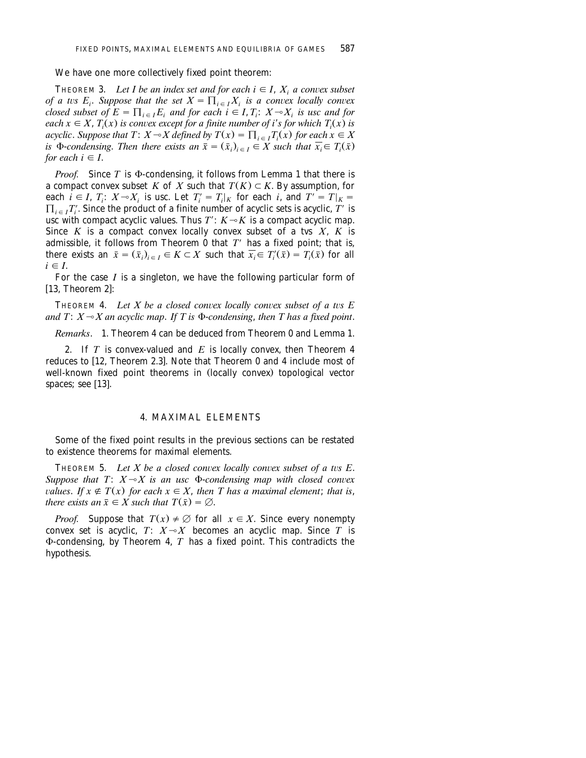#### We have one more collectively fixed point theorem:

THEOREM 3. Let I be an index set and for each  $i \in I$ ,  $X_i$  a convex subset *of a tvs E<sub>i</sub>. Suppose that the set*  $X = \prod_{i \in I} X_i$  *is a convex locally convex closed subset of*  $E = \prod_{i \in I} E_i$  *and for each i*  $\in I$ ,  $T_i$ :  $X \sim X_i$  *is usc and for each*  $x \in X$ ,  $T(x)$  *is convex except for a finite number of i*'s *for which*  $T(x)$  *is acyclic. Suppose that*  $T: X \to X$  *defined by*  $T(x) = \prod_{i \in I} T_i(x)$  for each  $x \in X$ *is*  $\Phi$ -*condensing. Then there exists an*  $\overline{x} = (\overline{x}_i)_{i \in I} \in X$  such that  $\overline{x}_i \in T_i(\overline{x})$ *for each*  $i \in I$ .

*Proof.* Since *T* is  $\Phi$ -condensing, it follows from Lemma 1 that there is a compact convex subset *K* of *X* such that  $T(K) \subset K$ . By assumption, for each  $i \in I$ ,  $T_i$ :  $X \sim X_i$  is usc. Let  $T_i' = T_i|_K$  for each i, and  $T' = T|_K =$  $\prod_{i \in I} T'_i$ . Since the product of a finite number of acyclic sets is acyclic,  $T'$  is usc with compact acyclic values. Thus  $T'$ :  $K \rightarrow K$  is a compact acyclic map. Since  $K$  is a compact convex locally convex subset of a tvs  $X$ ,  $K$  is admissible, it follows from Theorem 0 that  $T'$  has a fixed point; that is, there exists an  $\bar{x} = (\bar{x}_i)_{i \in I} \in K \subset X$  such that  $\bar{x}_i \in T'_i(\bar{x}) = T_i(\bar{x})$  for all  $i \in I$ .

For the case *I* is a singleton, we have the following particular form of  $[13,$  Theorem 2]:

THEOREM 4. Let  $X$  be a closed convex locally convex subset of a tvs  $E$ and  $T: X \rightarrow X$  an acyclic map. If T is  $\Phi$ -condensing, then T has a fixed point.

*Remarks*. 1. Theorem 4 can be deduced from Theorem 0 and Lemma 1.

2. If *T* is convex-valued and *E* is locally convex, then Theorem 4 reduces to [12, Theorem 2.3]. Note that Theorem 0 and 4 include most of well-known fixed point theorems in (locally convex) topological vector spaces; see  $[13]$ .

#### 4. MAXIMAL ELEMENTS

Some of the fixed point results in the previous sections can be restated to existence theorems for maximal elements.

THEOREM 5. Let  $X$  be a closed convex locally convex subset of a tvs  $E$ . *Suppose that T:*  $X \rightarrow X$  *is an usc*  $\Phi$ -*condensing map with closed convex values. If*  $x \notin T(x)$  *for each*  $x \in X$ *, then T has a maximal element; that is, there exists an*  $\bar{x} \in X$  *such that*  $T(\bar{x}) = \emptyset$ .

*Proof.* Suppose that  $T(x) \neq \emptyset$  for all  $x \in X$ . Since every nonempty convex set is acyclic,  $T: X \rightarrow X$  becomes an acyclic map. Since  $T$  is  $\Phi$ -condensing, by Theorem 4,  $T$  has a fixed point. This contradicts the hypothesis.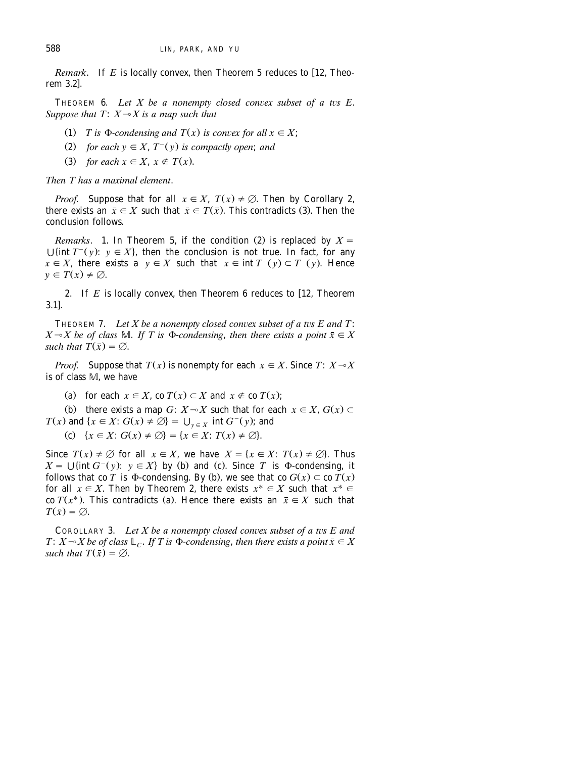*Remark.* If  $E$  is locally convex, then Theorem 5 reduces to [12, Theorem 3.2<sup>1</sup>

THEOREM  $6.$  *Let X be a nonempty closed convex subset of a tvs E. Suppose that T:*  $X \rightarrow X$  *is a map such that* 

- (1) *T* is  $\Phi$ -*condensing and*  $T(x)$  *is convex for all*  $x \in X$ ;
- (2) *for each*  $y \in X$ ,  $T^-(y)$  *is compactly open*; *and*
- $(3)$  *for each*  $x \in X$ ,  $x \notin T(x)$ .

*Then T has a maximal element*.

*Proof.* Suppose that for all  $x \in X$ ,  $T(x) \neq \emptyset$ . Then by Corollary 2, there exists an  $\bar{x} \in X$  such that  $\bar{x} \in T(\bar{x})$ . This contradicts (3). Then the conclusion follows.

*Remarks*. 1. In Theorem 5, if the condition (2) is replaced by  $X =$  $\bigcup$ {int *T*<sup>-</sup>(y):  $y \in X$ }, then the conclusion is not true. In fact, for any  $x \in X$ , there exists a  $y \in X$  such that  $x \in \text{int } T^-(y) \subset T^-(y)$ . Hence  $y \in T(x) \neq \emptyset$ .

2. If  $E$  is locally convex, then Theorem  $6$  reduces to  $[12,$  Theorem  $3.11.$ 

THEOREM 7. Let  $X$  be a nonempty closed convex subset of a tvs  $E$  and  $T$ :  $X \sim X$  be of class M. If T is  $\Phi$ -condensing, then there exists a point  $\bar{x} \in X$ *such that*  $T(\bar{x}) = \emptyset$ .

*Proof.* Suppose that  $T(x)$  is nonempty for each  $x \in X$ . Since  $T: X \rightarrow X$ is of class M, we have

(a) for each  $x \in X$ , co  $T(x) \subset X$  and  $x \notin C(Y)$ ;

(b) there exists a map *G*:  $X \sim X$  such that for each  $x \in X$ ,  $G(x) \subset Y$ *T*(*x*) and  $\{x \in X : G(x) \neq \emptyset\} = \bigcup_{y \in X} \text{ int } G^-(y)$ ; and

(c)  $\{x \in X : G(x) \neq \emptyset\} = \{x \in X : T(x) \neq \emptyset\}.$ 

Since  $T(x) \neq \emptyset$  for all  $x \in X$ , we have  $X = \{x \in X: T(x) \neq \emptyset\}$ . Thus  $X = \bigcup \{ \text{int } G^-(y) : y \in X \}$  by (b) and (c). Since *T* is  $\Phi$ -condensing, it follows that co *T* is  $\Phi$ -condensing. By (b), we see that co  $G(x) \subset \text{co } T(x)$ for all  $x \in X$ . Then by Theorem 2, there exists  $x^* \in X$  such that  $x^* \in Y$ co  $T(x^*)$ . This contradicts (a). Hence there exists an  $\bar{x} \in X$  such that  $T(\bar{x}) = \emptyset$ .

COROLLARY 3. Let X be a nonempty closed convex subset of a tvs E and *T*:  $X \sim X$  be of class  $\mathbb{L}_C$ . If T is  $\Phi$ -condensing, then there exists a point  $\bar{x} \in X$ *such that*  $T(\bar{x}) = \emptyset$ .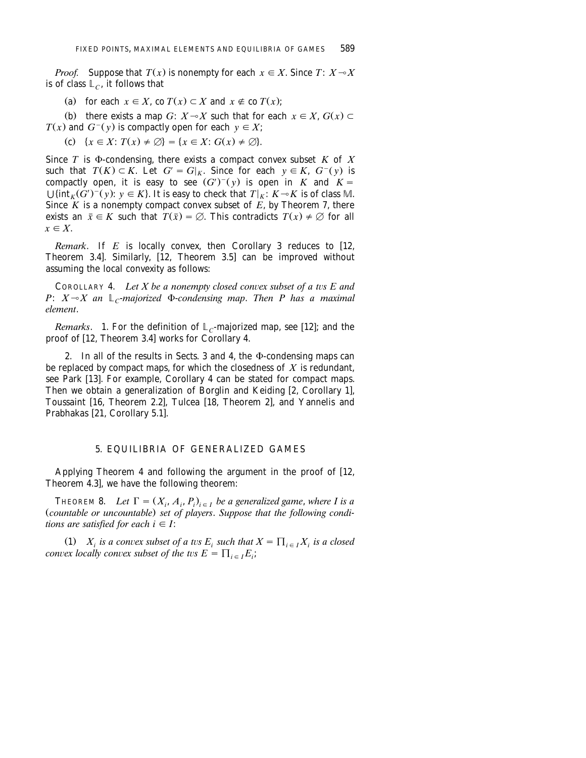*Proof.* Suppose that  $T(x)$  is nonempty for each  $x \in X$ . Since  $T: X \rightarrow X$ is of class  $\mathbb{L}_C$ , it follows that

(a) for each  $x \in X$ , co  $T(x) \subset X$  and  $x \notin C(Y)$ ;

(b) there exists a map *G*:  $X \sim X$  such that for each  $x \in X$ ,  $G(x) \subset Y$  $T(x)$  and  $G^{-}(y)$  is compactly open for each  $y \in X$ ;

(c) 
$$
\{x \in X : T(x) \neq \emptyset\} = \{x \in X : G(x) \neq \emptyset\}.
$$

Since  $T$  is  $\Phi$ -condensing, there exists a compact convex subset  $K$  of  $X$ such that  $T(K) \subset K$ . Let  $G' = G|_K$ . Since for each  $y \in K$ ,  $G^-(y)$  is compactly open, it is easy to see  $(G')^-(y)$  is open in *K* and  $K =$  $\bigcup \{\inf_{K} (G')^{-}(y): y \in K\}$ . It is easy to check that  $T|_{K}: K \rightarrow K$  is of class M. Since  $K$  is a nonempty compact convex subset of  $E$ , by Theorem 7, there exists an  $\bar{x} \in K$  such that  $\bar{T}(\bar{x}) = \emptyset$ . This contradicts  $T(x) \neq \emptyset$  for all  $x \in X$ 

*Remark*. If *E* is locally convex, then Corollary 3 reduces to [12, Theorem 3.4]. Similarly,  $[12,$  Theorem 3.5] can be improved without assuming the local convexity as follows:

COROLLARY 4. *Let X be a nonempty closed convex subset of a tvs E and P*:  $X \sim X$  an  $\mathbb{L}$ -*majorized*  $\Phi$ -*condensing map. Then P has a maximal element*.

*Remarks*. 1. For the definition of  $L_c$ -majorized map, see [12]; and the proof of [12, Theorem 3.4] works for Corollary 4.

2. In all of the results in Sects. 3 and 4, the  $\Phi$ -condensing maps can be replaced by compact maps, for which the closedness of *X* is redundant, see Park [13]. For example, Corollary 4 can be stated for compact maps. Then we obtain a generalization of Borglin and Keiding  $[2,$  Corollary 1], Toussaint [16, Theorem 2.2], Tulcea [18, Theorem 2], and Yannelis and Prabhakas [21, Corollary 5.1].

### 5. EQUILIBRIA OF GENERALIZED GAMES

Applying Theorem 4 and following the argument in the proof of [12, Theorem  $4.3$ , we have the following theorem:

**THEOREM 8.** Let  $\Gamma = (X_i, A_i, P_i)_{i \in I}$  be a generalized game, where I is a (countable or uncountable) set of players. Suppose that the following condi*tions are satisfied for each*  $i \in I$ *:* 

(1)  $X_i$  *is a convex subset of a tvs E<sub>i</sub> such that*  $X = \prod_{i \in I} X_i$  *is a closed convex locally convex subset of the tvs*  $E = \prod_{i \in I} E_i$ *;*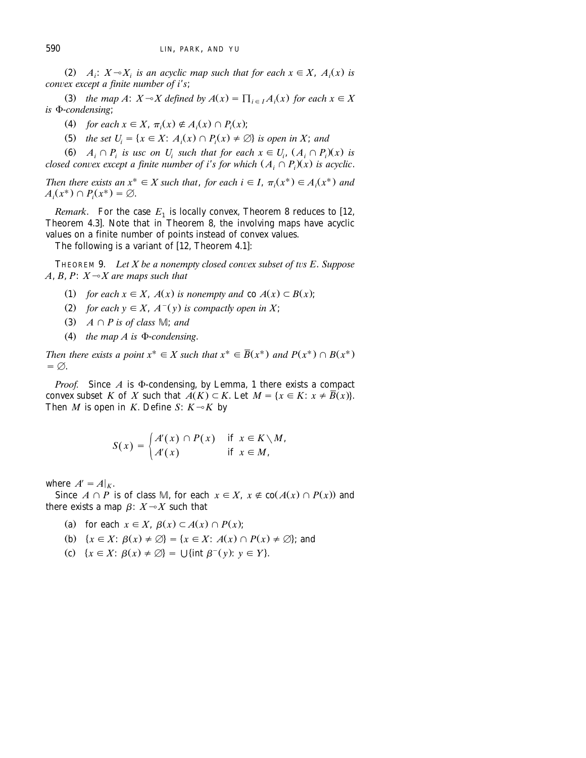(2)  $A_i$ :  $X \rightarrow X_i$  *is an acyclic map such that for each*  $x \in X$ ,  $A_i(x)$  *is convex except a finite number of i's*;

(3) the map A:  $X \sim X$  defined by  $A(x) = \prod_{i \in I} A_i(x)$  for each  $x \in X$ *is*  $\Phi$ -*condensing*;

(4) for each  $x \in X$ ,  $\pi_i(x) \notin A_i(x) \cap P_i(x)$ ;

(5) *the set*  $U_i = \{x \in X : A_i(x) \cap P_i(x) \neq \emptyset\}$  *is open in X; and* 

(6)  $A_i \cap P_i$  is usc on U<sub>i</sub> such that for each  $x \in U_i$ ,  $(A_i \cap P_i)(x)$  is *closed convex except a finite number of i*'s for which  $(A, \cap P)(x)$  is acyclic.

Then there exists an  $x^* \in X$  such that, for each  $i \in I$ ,  $\pi_i(x^*) \in A_i(x^*)$  and  $A_i(x^*) \cap P_i(x^*) = \emptyset.$ 

*Remark.* For the case  $E_1$  is locally convex, Theorem 8 reduces to [12, Theorem 4.3]. Note that in Theorem 8, the involving maps have acyclic values on a finite number of points instead of convex values.

The following is a variant of  $[12,$  Theorem 4.1]:

THEOREM 9. *Let X be a nonempty closed convex subset of tvs E. Suppose*  $A, B, P: X \rightarrow X$  are maps such that

- (1) for each  $x \in X$ ,  $A(x)$  is nonempty and co  $A(x) \subset B(x)$ ;
- (2) for each  $y \in X$ ,  $A^{-}(y)$  is compactly open in X;
- (3)  $A \cap P$  is of class  $M$ ; and
- (4) the map  $A$  is  $\Phi$ -*condensing*.

Then there exists a point  $x^* \in X$  such that  $x^* \in \overline{B}(x^*)$  and  $P(x^*) \cap B(x^*)$  $= \emptyset$ .

*Proof.* Since  $A$  is  $\Phi$ -condensing, by Lemma, 1 there exists a compact convex subset *K* of *X* such that  $A(K) \subset K$ . Let  $M = \{x \in K : x \neq \overline{B}(x)\}.$ Then *M* is open in *K*. Define *S*:  $K \sim K$  by

$$
S(x) = \begin{cases} A'(x) \cap P(x) & \text{if } x \in K \setminus M, \\ A'(x) & \text{if } x \in M, \end{cases}
$$

where  $A' = A|_K$ .

Since  $A \cap P$  is of class M, for each  $x \in X$ ,  $x \notin co(A(x) \cap P(x))$  and there exists a map  $\beta$ :  $X \rightarrow X$  such that

(a) for each  $x \in X$ ,  $\beta(x) \subset A(x) \cap P(x)$ ;

(b) 
$$
{x \in X: \beta(x) \neq \emptyset} = {x \in X: A(x) \cap P(x) \neq \emptyset}
$$
; and

(c)  $\{x \in X: \beta(x) \neq \emptyset\} = \bigcup \{\text{int } \beta^-(y): y \in Y\}.$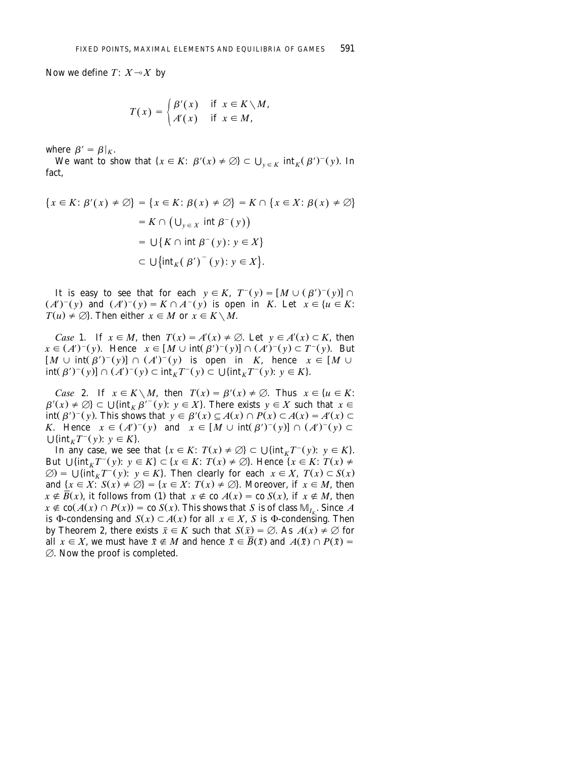Now we define  $T: X \rightarrow X$  by

$$
T(x) = \begin{cases} \beta'(x) & \text{if } x \in K \setminus M, \\ A'(x) & \text{if } x \in M, \end{cases}
$$

where  $\beta' = \beta|_K$ .

We want to show that  $\{x \in K: \beta'(x) \neq \emptyset\} \subset \bigcup_{y \in K} \text{int}_K(\beta')^-(y)$ . In fact,

$$
\{x \in K : \beta'(x) \neq \emptyset\} = \{x \in K : \beta(x) \neq \emptyset\} = K \cap \{x \in X : \beta(x) \neq \emptyset\}
$$

$$
= K \cap (\bigcup_{y \in X} \text{ int } \beta^{-}(y))
$$

$$
= \bigcup \{K \cap \text{ int } \beta^{-}(y) : y \in X\}
$$

$$
\subset \bigcup \{\text{int}_{K}(\beta')^{-}(y) : y \in X\}.
$$

It is easy to see that for each  $y \in K$ ,  $T^-(y) = [M \cup (\beta')^-(y)] \cap$  $(A')^{-}(y)$  and  $(A')^{-}(y) = K \cap A^{-}(y)$  is open in *K*. Let  $x \in \{u \in K:$  $T(u) \neq \emptyset$ . Then either  $x \in M$  or  $x \in K \setminus M$ .

*Case* 1. If  $x \in M$ , then  $T(x) = A'(x) \neq \emptyset$ . Let  $y \in A'(x) \subset K$ , then  $x \in (A')^-(y)$ . Hence  $x \in [M \cup \text{int}(\beta')^-(y)] \cap (A')^-(y) \subset T^-(y)$ . But  $[M \cup \text{int}(\beta')^-(y)] \cap (A')^-(y)$  is open in *K*, hence  $x \in [M \cup$  $\int \int \int f(x) f(y) dx = \int f(x) f(y) + \int f(x) f(y) dx$ .<br> $\int f(x) f(x) dx = \int f(x) f(x) dx + \int f(x) f(x) dx$ .

*Case* 2. If  $x \in K \setminus M$ , then  $T(x) = \beta'(x) \neq \emptyset$ . Thus  $x \in \{u \in K:$  $\beta'(x) \neq \emptyset$   $\subset \bigcup \{\text{int}_K \beta'^{-}(y): y \in X\}$ . There exists  $y \in X$  such that  $x \in$  $\text{int}(\beta')^-(y)$ . This shows that  $y \in \beta'(x) \subseteq A(x) \cap P(x) \subset A(x) = A'(x) \subset$ *K*. Hence  $x \in (A')^{-}(y)$  and  $x \in [M \cup int(\beta')^{-}(y)] \cap (A')^{-}(y) \subset$  $\bigcup \{ \text{int}_K T^-(y) : y \in K \}.$ 

In any case, we see that  $\{x \in K: T(x) \neq \emptyset\} \subset \bigcup \{\text{int}_K T^-(y): y \in K\}.$ But  $\bigcup \{\inf_{K} T^{-}(y): y \in K\} \subset \{x \in K: T(x) \neq \emptyset\}$ . Hence  $\{x \in K: T(x) \neq \emptyset\}$  $\varnothing$ ) =  $\bigcup \{\inf_{x} T^{-}(y): y \in K\}$ . Then clearly for each  $x \in X$ ,  $T(x) \subset S(x)$ and  $\{x \in X : S(x) \neq \emptyset\} = \{x \in X : T(x) \neq \emptyset\}$ . Moreover, if  $x \in M$ , then  $x \notin \overline{B}(x)$ , it follows from (1) that  $x \notin$  co  $A(x) =$  co  $S(x)$ , if  $x \notin M$ , then  $x \notin \text{co}(A(x) \cap P(x)) = \text{co } S(x)$ . This shows that *S* is of class  $\mathbb{M}_{I_{\nu}}$ . Since *A* is  $\Phi$ -condensing and  $S(x) \subset A(x)$  for all  $x \in X$ , *S* is  $\Phi$ -condensing. Then by Theorem 2, there exists  $\bar{x} \in K$  such that  $S(\bar{x}) = \emptyset$ . As  $A(x) \neq \emptyset$  for all  $x \in X$ , we must have  $\bar{x} \notin M$  and hence  $\bar{x} \in \bar{B}(\bar{x})$  and  $A(\bar{x}) \cap P(\bar{x}) =$  $\emptyset$ . Now the proof is completed.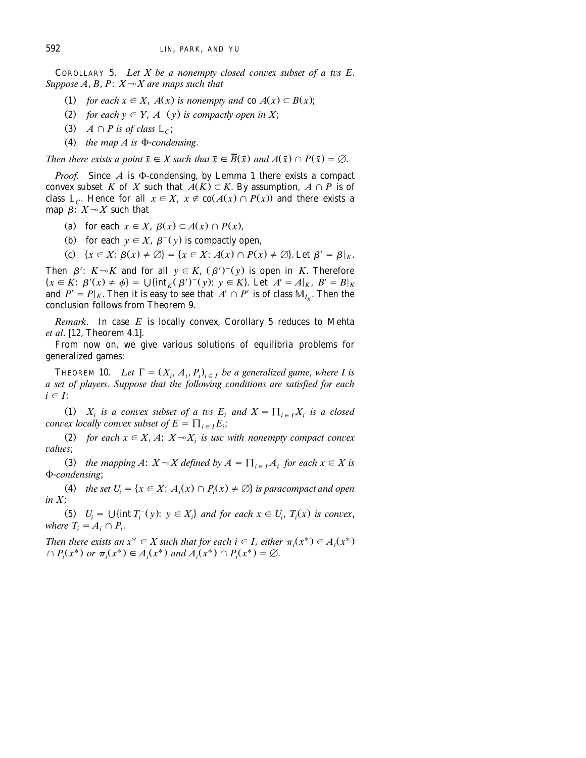**COROLLARY 5.** Let X be a nonempty closed convex subset of a tvs E. *Suppose A, B, P:*  $X \rightarrow X$  *are maps such that* 

- (1) for each  $x \in X$ ,  $A(x)$  is nonempty and co  $A(x) \subset B(x)$ ;
- (2) for each  $y \in Y$ ,  $A^{-}(y)$  is compactly open in X;
- (3)  $A \cap P$  is of class  $\mathbb{L}_C$ ;
- $(4)$  the map A is  $\Phi$ -condensing.

*Then there exists a point*  $\bar{x} \in X$  *such that*  $\bar{x} \in \bar{B}(\bar{x})$  *and*  $A(\bar{x}) \cap P(\bar{x}) = \emptyset$ .

*Proof.* Since  $A$  is  $\Phi$ -condensing, by Lemma 1 there exists a compact convex subset *K* of *X* such that  $A(K) \subset K$ . By assumption,  $A \cap P$  is of class  $L_C$ . Hence for all  $x \in X$ ,  $x \notin co(A(x) \cap P(x))$  and there exists a map  $\beta$ :  $X \rightarrow X$  such that

- (a) for each  $x \in X$ ,  $\beta(x) \subset A(x) \cap P(x)$ ,
- (b) for each  $y \in X$ ,  $\beta^-(y)$  is compactly open,
- (c)  $\{x \in X : \beta(x) \neq \emptyset\} = \{x \in X : A(x) \cap P(x) \neq \emptyset\}$ . Let  $\beta' = \beta|_{X}$ .

Then  $\beta$ :  $K \rightarrow K$  and for all  $y \in K$ ,  $(\beta')^-(y)$  is open in *K*. Therefore  ${x \in K: \beta'(x) \neq \phi} = \bigcup \{ \text{int}_K (\beta')$ and  $P' = P|_K$ . Then it is easy to see that  $A' \cap P'$  is of class  $\mathbb{M}_{I_{\nu}}$ . Then the conclusion follows from Theorem 9.

*Remark*. In case *E* is locally convex, Corollary 5 reduces to Mehta *et al.* [12, Theorem 4.1].

From now on, we give various solutions of equilibria problems for generalized games:

THEOREM 10. *Let*  $\Gamma = (X_i, A_i, P_i)_{i \in I}$  *be a generalized game, where I is a set of players*. *Suppose that the following conditions are satisfied for each*  $i \in I$ :

(1)  $X_i$  is a convex subset of a tvs  $E_i$  and  $X = \prod_{i \in I} X_i$  is a closed *convex locally convex subset of*  $E = \prod_{i \in I} E_i$ *;* 

(2) for each  $x \in X$ , *A*:  $X \sim X$  *is usc with nonempty compact convex* ¨*alues*;

(3) *the mapping A*:  $X \sim X$  *defined by A* =  $\prod_{i \in I} A_i$  *for each*  $x \in X$  *is* F-*condensing*;

(4) the set  $U_i = \{x \in X : A_i(x) \cap P_i(x) \neq \emptyset\}$  is paracompact and open *in X*;

(5)  $U_i = \bigcup \{ \text{int } T_i^-(y) : y \in X_i \}$  and for each  $x \in U_i$ ,  $T_i(x)$  is convex, *where*  $T_i = A_i \cap P_i$ .

Then there exists an  $x^* \in X$  such that for each  $i \in I$ , either  $\pi_i(x^*) \in A_i(x^*)$  $\cap$  *P<sub>i</sub>*( $x^*$ ) or  $\pi_i(x^*) \in A_i(x^*)$  and  $A_i(x^*) \cap P_i(x^*) = \emptyset$ .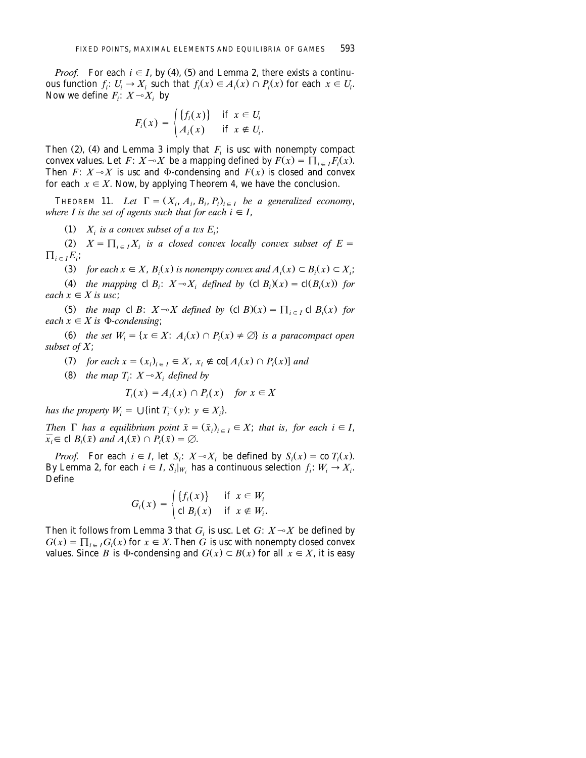*Proof.* For each  $i \in I$ , by (4), (5) and Lemma 2, there exists a continuous function  $f_i: U_i \to X_i$  such that  $f_i(x) \in A_i(x) \cap P_i(x)$  for each  $x \in U_i$ . Now we define  $F_i: X \rightarrow X_i$  by

$$
F_i(x) = \begin{cases} \{f_i(x)\} & \text{if } x \in U_i \\ A_i(x) & \text{if } x \notin U_i. \end{cases}
$$

Then (2), (4) and Lemma 3 imply that  $F_i$  is usc with nonempty compact convex values. Let  $F: X \rightarrow X$  be a mapping defined by  $F(x) = \prod_{i \in I} F_i(x)$ . Then *F*:  $X \rightarrow X$  is usc and  $\Phi$ -condensing and  $F(x)$  is closed and convex for each  $x \in X$ . Now, by applying Theorem 4, we have the conclusion.

THEOREM 11. Let  $\Gamma = (X_i, A_i, B_i, P_i)_{i \in I}$  be a generalized economy, *where I is the set of agents such that for each*  $i \in I$ *,* 

(1)  $X_i$  *is a convex subset of a tvs E<sub>i</sub>*;

 $(X, Y) = \prod_{i \in I} X_i$  *is a closed convex locally convex subset of*  $E =$  $\prod_{i \in I} E_i$ ;

(3) for each  $x \in X$ ,  $B_i(x)$  is nonempty convex and  $A_i(x) \subset B_i(x) \subset X_i$ ;

(4) the mapping cl *B<sub>i</sub>*:  $X \sim X_i$  defined by (cl *B<sub>i</sub>*)(*x*) = cl(*B<sub>i</sub>*(*x*)) for *each*  $x \in X$  *is usc*;

(5) the map cl *B*:  $X \sim X$  defined by (cl *B*)(*x*) =  $\prod_{i \in I}$  cl *B<sub>i</sub>*(*x*) for *each*  $x \in X$  *is*  $\Phi$ *-condensing*;

(6) the set  $W_i = \{x \in X: A_i(x) \cap P_i(x) \neq \emptyset\}$  is a paracompact open *subset of X*;

 $Z(7)$  *for each*  $x = (x_i)_{i \in I} \in X$ ,  $x_i \notin \text{co}[A_i(x) \cap P_i(x)]$  and

(8) the map  $T_i$ :  $X \rightarrow X_i$  defined by

$$
T_i(x) = A_i(x) \cap P_i(x) \quad \text{for } x \in X
$$

*has the property*  $W_i = \bigcup \{ \text{int } T_i^-(y) : y \in X_i \}.$ 

*Then*  $\Gamma$  *has a equilibrium point*  $\bar{x} = (\bar{x}_i)_{i \in I} \in X$ ; *that is, for each i*  $\in I$ ,  $\overline{x_i} \in \text{cl } B_i(\overline{x})$  and  $\overline{A_i(\overline{x})} \cap P_i(\overline{x}) = \emptyset$ .

*Proof.* For each  $i \in I$ , let  $S_i$ :  $X \sim X_i$  be defined by  $S_i(x) = \text{co } T_i(x)$ . By Lemma 2, for each  $i \in I$ ,  $S_i|_{W_i}$  has a continuous selection  $f_i: W_i \to X_i$ . Define

$$
G_i(x) = \begin{cases} \{f_i(x)\} & \text{if } x \in W_i \\ \text{cl } B_i(x) & \text{if } x \notin W_i. \end{cases}
$$

Then it follows from Lemma 3 that  $G_i$  is usc. Let  $G: X \rightarrow X$  be defined by  $G(x) = \prod_{i \in I} G_i(x)$  for  $x \in X$ . Then *G* is usc with nonempty closed convex values. Since *B* is  $\Phi$ -condensing and  $G(x) \subset B(x)$  for all  $x \in X$ , it is easy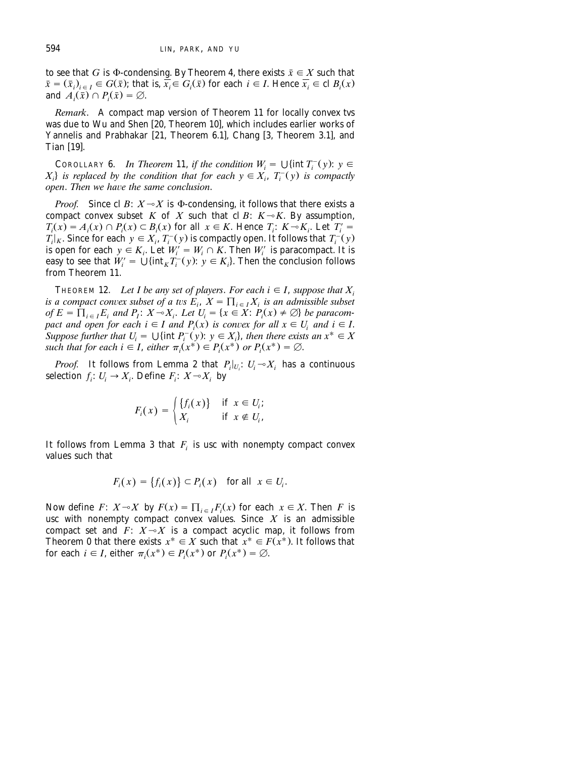to see that *G* is  $\Phi$ -condensing. By Theorem 4, there exists  $\bar{x} \in X$  such that  $\bar{x} = (\bar{x}_i)_{i \in I} \in G(\bar{x})$ ; that is,  $\bar{x}_i \in G_i(\bar{x})$  for each  $i \in I$ . Hence  $\bar{x}_i \in \text{cl } B_i(x)$ and  $\overline{A_i(\overline{x})} \cap P_i(\overline{x}) = \emptyset$ .

*Remark*. A compact map version of Theorem 11 for locally convex tvs was due to Wu and Shen [20, Theorem 10], which includes earlier works of Yannelis and Prabhakar [21, Theorem 6.1], Chang [3, Theorem 3.1], and Tian  $[19]$ .

COROLLARY 6. *In Theorem* 11, *if the condition*  $W_i = \bigcup \{\text{int } T_i^-(y) : y \in$  $X_i$  *is replaced by the condition that for each*  $y \in X_i$ *,*  $T_i(y)$  *is compactly open. Then we have the same conclusion.* 

*Proof.* Since cl *B*:  $X \sim X$  is  $\Phi$ -condensing, it follows that there exists a compact convex subset *K* of *X* such that cl *B*:  $K \sim K$ . By assumption,  $T_i(x) = A_i(x) \cap P_i(x) \subset B_i(x)$  for all  $x \in K$ . Hence  $T_i: K \to K_i$ . Let  $T_i' =$  $T$ <sub>i</sub><sub>*K*</sub>. Since for each  $y \in X$ ,  $T$ <sup>-</sup> $(y)$  is compactly open. It follows that  $T$ <sup>-</sup> $(y)$ is open for each  $y \in K_i$ . Let  $W'_i = W_i \cap K$ . Then  $W'_i$  is paracompact. It is easy to see that  $W'_i = \bigcup \{ \text{int}_K T_i^-(y) : y \in K_i \}$ . Then the conclusion follows from Theorem 11.

**THEOREM 12.** Let I be any set of players. For each  $i \in I$ , suppose that  $X_i$ *is a compact convex subset of a tvs*  $E_i$ ,  $X = \prod_{i \in I} X_i$  *is an admissible subset of*  $E = \prod_{i \in I} E_i$  and  $P_i$ :  $X \sim X_i$ . Let  $U_i = \{x \in X : P_i(x) \neq \emptyset\}$  be paracom*pact and open for each*  $i \in I$  *and*  $P_i(x)$  *is convex for all*  $x \in U_i$  *and*  $i \in I$ *.* Suppose further that  $U_i = \bigcup \{ \text{int } P_i^-(y): y \in X_i \}$ , then there exists an  $x^* \in X$ such that for each  $i \in I$ , either  $\pi_i(x^*) \in P_i(x^*)$  or  $P_i(x^*) = \emptyset$ .

*Proof.* It follows from Lemma 2 that  $P_i|_{U_i}: U_i \rightarrow X_i$  has a continuous selection  $f_i: U_i \to X_i$ . Define  $F_i: X \to X_i$  by

$$
F_i(x) = \begin{cases} \{f_i(x)\} & \text{if } x \in U_i; \\ X_i & \text{if } x \notin U_i, \end{cases}
$$

It follows from Lemma 3 that  $F_i$  is usc with nonempty compact convex values such that

$$
F_i(x) = \{f_i(x)\} \subset P_i(x) \quad \text{for all} \ \ x \in U_i.
$$

Now define *F*:  $X \sim X$  by  $F(x) = \prod_{i \in I} F_i(x)$  for each  $x \in X$ . Then *F* is usc with nonempty compact convex values. Since  $X$  is an admissible compact set and  $F: X \rightarrow X$  is a compact acyclic map, it follows from Theorem 0 that there exists  $x^* \in X$  such that  $x^* \in F(x^*)$ . It follows that for each  $i \in I$ , either  $\pi_i(x^*) \in P_i(x^*)$  or  $P_i(x^*) = \emptyset$ .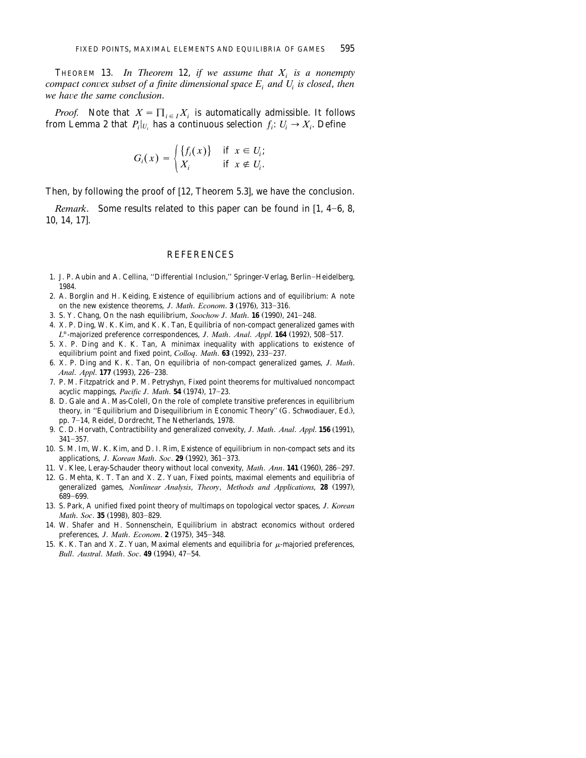THEOREM 13. In Theorem 12, if we assume that  $X_i$  is a nonempty *compact convex subset of a finite dimensional space*  $E_i$  *and*  $U_i$  *is closed, then we have the same conclusion.* 

*Proof.* Note that  $X = \prod_{i \in I} X_i$  is automatically admissible. It follows from Lemma 2 that  $P_i|_{U_i}$  has a continuous selection  $f_i: U_i \to X_i$ . Define

$$
G_i(x) = \begin{cases} \{f_i(x)\} & \text{if } x \in U_i; \\ X_i & \text{if } x \notin U_i. \end{cases}
$$

Then, by following the proof of  $[12,$  Theorem 5.3], we have the conclusion.

*Remark.* Some results related to this paper can be found in  $[1, 4-6, 8, 6]$ 10, 14, 17].

#### **REFERENCES**

- 1. J. P. Aubin and A. Cellina, "Differential Inclusion," Springer-Verlag, Berlin-Heidelberg, 1984.
- 2. A. Borglin and H. Keiding, Existence of equilibrium actions and of equilibrium: A note on the new existence theorems, *J. Math. Econom.* **3** (1976), 313-316.
- 3. S. Y. Chang, On the nash equilibrium, *Soochow J. Math.* **16** (1990), 241–248.
- 4. X. P. Ding, W. K. Kim, and K. K. Tan, Equilibria of non-compact generalized games with L<sup>\*</sup>-majorized preference correspondences, *J. Math. Anal. Appl.* **164** (1992), 508-517.
- 5. X. P. Ding and K. K. Tan, A minimax inequality with applications to existence of equilibrium point and fixed point, *Colloq. Math.* 63 (1992), 233-237.
- 6. X. P. Ding and K. K. Tan, On equilibria of non-compact generalized games, *J*. *Math*. *Anal. Appl.* **177** (1993), 226-238.
- 7. P. M. Fitzpatrick and P. M. Petryshyn, Fixed point theorems for multivalued noncompact acyclic mappings, *Pacific J. Math*. **54** (1974), 17-23.
- 8. D. Gale and A. Mas-Colell, On the role of complete transitive preferences in equilibrium theory, in "Equilibrium and Disequilibrium in Economic Theory" (G. Schwodiauer, Ed.), pp. 7-14, Reidel, Dordrecht, The Netherlands, 1978.
- 9. C. D. Horvath, Contractibility and generalized convexity, *J. Math. Anal. Appl.* **156** (1991),  $341 - 357.$
- 10. S. M. Im, W. K. Kim, and D. I. Rim, Existence of equilibrium in non-compact sets and its applications, *J. Korean Math. Soc.* **29** (1992), 361-373.
- 11. V. Klee, Leray-Schauder theory without local convexity, *Math. Ann.* **141** (1960), 286–297.
- 12. G. Mehta, K. T. Tan and X. Z. Yuan, Fixed points, maximal elements and equilibria of generalized games, *Nonlinear Analysis*, *Theory*, *Methods and Applications*, 28 (1997), 689-699.
- 13. S. Park, A unified fixed point theory of multimaps on topological vector spaces, *J*. *Korean Math. Soc.* **35** (1998), 803-829.
- 14. W. Shafer and H. Sonnenschein, Equilibrium in abstract economics without ordered preferences, *J. Math. Econom.* **2** (1975), 345-348.
- 15. K. K. Tan and X. Z. Yuan, Maximal elements and equilibria for  $\mu$ -majoried preferences, *Bull. Austral. Math. Soc.* 49 (1994), 47-54.